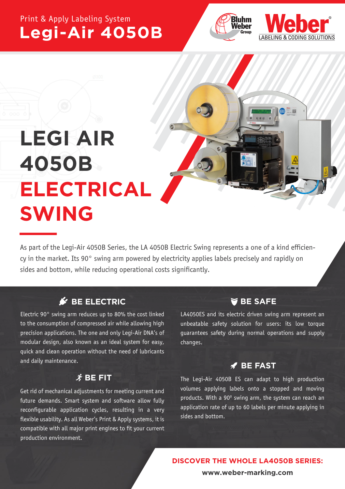### Print & Apply Labeling System **Legi-Air 4050B**





# **LEGI AIR 4050B ELECTRICAL SWING**

As part of the Legi-Air 4050B Series, the LA 4050B Electric Swing represents a one of a kind efficiency in the market. Its 90° swing arm powered by electricity applies labels precisely and rapidly on sides and bottom, while reducing operational costs significantly.

### **S BE ELECTRIC**

Electric 90° swing arm reduces up to 80% the cost linked to the consumption of compressed air while allowing high precision applications. The one and only Legi-Air DNA's of modular design, also known as an ideal system for easy, quick and clean operation without the need of lubricants and daily maintenance.<br> **BE FAST** 

### $\hat{\mathbf{X}}$  BE FIT

Get rid of mechanical adjustments for meeting current and future demands. Smart system and software allow fully reconfigurable application cycles, resulting in a very flexible usability. As all Weber's Print & Apply systems, it is compatible with all major print engines to fit your current production environment.

### **BE SAFE**

LA4050ES and its electric driven swing arm represent an unbeatable safety solution for users: its low torque guarantees safety during normal operations and supply changes.

The Legi-Air 4050B ES can adapt to high production volumes applying labels onto a stopped and moving products. With a 90º swing arm, the system can reach an application rate of up to 60 labels per minute applying in sides and bottom.

**DISCOVER THE WHOLE LA4050B SERIES:**

**www.weber-marking.com**